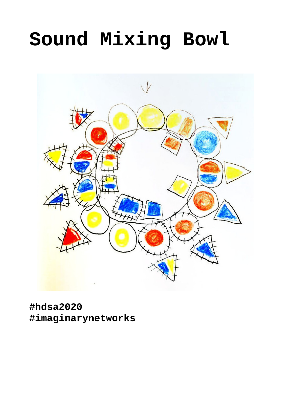# **Sound Mixing Bowl**



**#hdsa2020 #imaginarynetworks**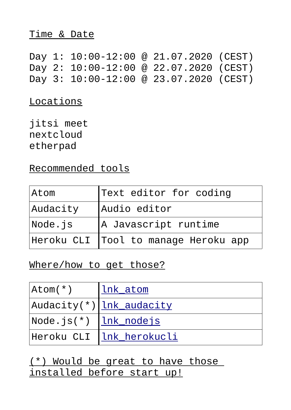### Time & Date

Day 1: 10:00-12:00 @ 21.07.2020 (CEST) Day 2: 10:00-12:00 @ 22.07.2020 (CEST) Day 3: 10:00-12:00 @ 23.07.2020 (CEST)

Locations

jitsi meet nextcloud etherpad

Recommended tools

| Atom     | Text editor for coding                 |
|----------|----------------------------------------|
| Audacity | Audio editor                           |
| Node.js  | A Javascript runtime                   |
|          | Heroku CLI   Tool to manage Heroku app |

## Where/how to get those?

| Atom(*)                                    | llnk_atom                        |
|--------------------------------------------|----------------------------------|
|                                            | Audacity(*) lnk_audacity         |
| $Node.js(*)$ $\lfloor lnk\_nodejs \rfloor$ |                                  |
|                                            | Heroku CLI <u> lnk_herokucli</u> |

(\*) Would be great to have those installed before start up!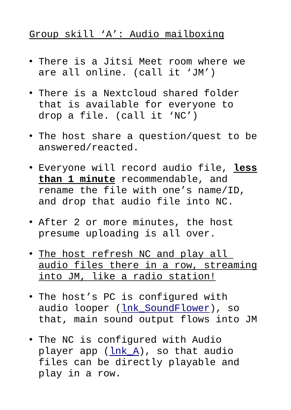# Group skill 'A': Audio mailboxing

- There is a Jitsi Meet room where we are all online. (call it 'JM')
- There is a Nextcloud shared folder that is available for everyone to drop a file. (call it 'NC')
- The host share a question/quest to be answered/reacted.
- Everyone will record audio file, **less than 1 minute** recommendable, and rename the file with one's name/ID, and drop that audio file into NC.
- After 2 or more minutes, the host presume uploading is all over.
- The host refresh NC and play all audio files there in a row, streaming into JM, like a radio station!
- The host's PC is configured with audio looper ([lnk\\_SoundFlower\)](https://github.com/mattingalls/Soundflower/releases), so that, main sound output flows into JM
- The NC is configured with Audio player app [\(lnk\\_A](https://apps.nextcloud.com/apps/audioplayer)), so that audio files can be directly playable and play in a row.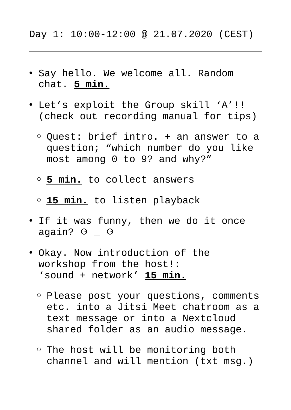- Say hello. We welcome all. Random chat. **5 min.**
- Let's exploit the Group skill 'A'!! (check out recording manual for tips)
	- Quest: brief intro. + an answer to a question; "which number do you like most among 0 to 9? and why?"
	- ◦ **5 min.** to collect answers
	- ◦ **15 min.** to listen playback
- If it was funny, then we do it once again? o o
- Okay. Now introduction of the workshop from the host!: 'sound + network' **15 min.**
	- Please post your questions, comments etc. into a Jitsi Meet chatroom as a text message or into a Nextcloud shared folder as an audio message.
	- The host will be monitoring both channel and will mention (txt msg.)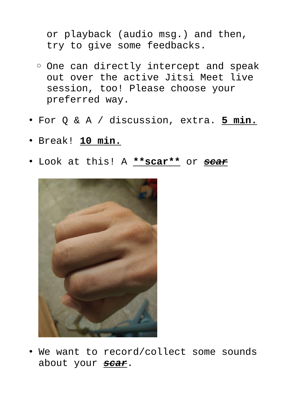or playback (audio msg.) and then, try to give some feedbacks.

- One can directly intercept and speak out over the active Jitsi Meet live session, too! Please choose your preferred way.
- For Q & A / discussion, extra. **5 min.**
- Break! **10 min.**
- Look at this! A **\*\*scar\*\*** or *scar*



• We want to record/collect some sounds about your *scar*.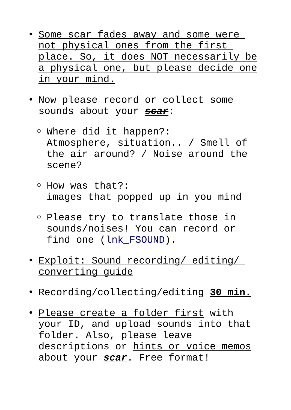- Some scar fades away and some were not physical ones from the first place. So, it does NOT necessarily be a physical one, but please decide one in your mind.
- Now please record or collect some sounds about your *scar*:
	- Where did it happen?: Atmosphere, situation.. / Smell of the air around? / Noise around the scene?
	- How was that?: images that popped up in you mind
	- Please try to translate those in sounds/noises! You can record or find one (lnk FSOUND).
- Exploit: Sound recording/ editing/ converting guide
- Recording/collecting/editing **30 min.**
- Please create a folder first with your ID, and upload sounds into that folder. Also, please leave descriptions or hints or voice memos about your *scar*. Free format!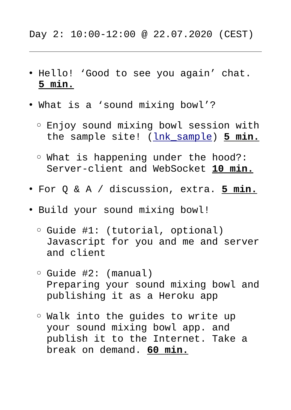### Day 2: 10:00-12:00 @ 22.07.2020 (CEST)

- Hello! 'Good to see you again' chat. **5 min.**
- What is a 'sound mixing bowl'?
	- Enjoy sound mixing bowl session with the sample site! [\(lnk\\_sample](https://sound-mix.herokuapp.com/sample/)) **5 min.**
	- What is happening under the hood?: Server-client and WebSocket **10 min.**
- For Q & A / discussion, extra. **5 min.**
- Build your sound mixing bowl!
	- Guide #1: (tutorial, optional) Javascript for you and me and server and client
	- Guide #2: (manual) Preparing your sound mixing bowl and publishing it as a Heroku app
	- Walk into the guides to write up your sound mixing bowl app. and publish it to the Internet. Take a break on demand. **60 min.**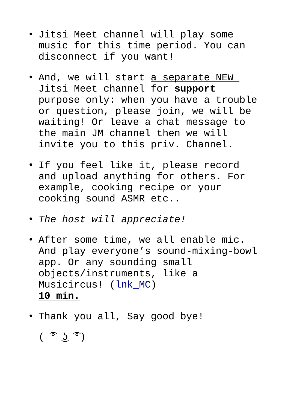- Jitsi Meet channel will play some music for this time period. You can disconnect if you want!
- And, we will start <u>a separate NEW</u> Jitsi Meet channel for **support** purpose only: when you have a trouble or question, please join, we will be waiting! Or leave a chat message to the main JM channel then we will invite you to this priv. Channel.
- If you feel like it, please record and upload anything for others. For example, cooking recipe or your cooking sound ASMR etc..
- *The host will appreciate!*
- After some time, we all enable mic. And play everyone's sound-mixing-bowl app. Or any sounding small objects/instruments, like a Musicircus! [\(lnk\\_MC\)](https://youtu.be/kyL_32Q7QNI?t=64) **10 min.**
- Thank you all, Say good bye!

 $($   $\circ$   $\circ$   $\circ$   $)$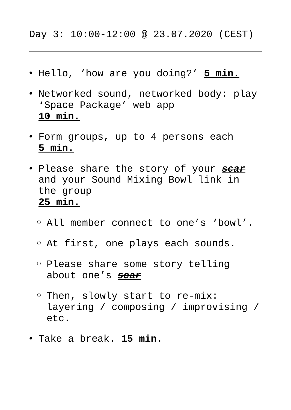## Day 3: 10:00-12:00 @ 23.07.2020 (CEST)

- Hello, 'how are you doing?' **5 min.**
- Networked sound, networked body: play 'Space Package' web app  **10 min.**
- Form groups, up to 4 persons each **5 min.**
- Please share the story of your *scar* and your Sound Mixing Bowl link in the group **25 min.**
	- All member connect to one's 'bowl'.
	- At first, one plays each sounds.
	- Please share some story telling about one's *scar*
	- Then, slowly start to re-mix: layering / composing / improvising / etc.
- Take a break. **15 min.**